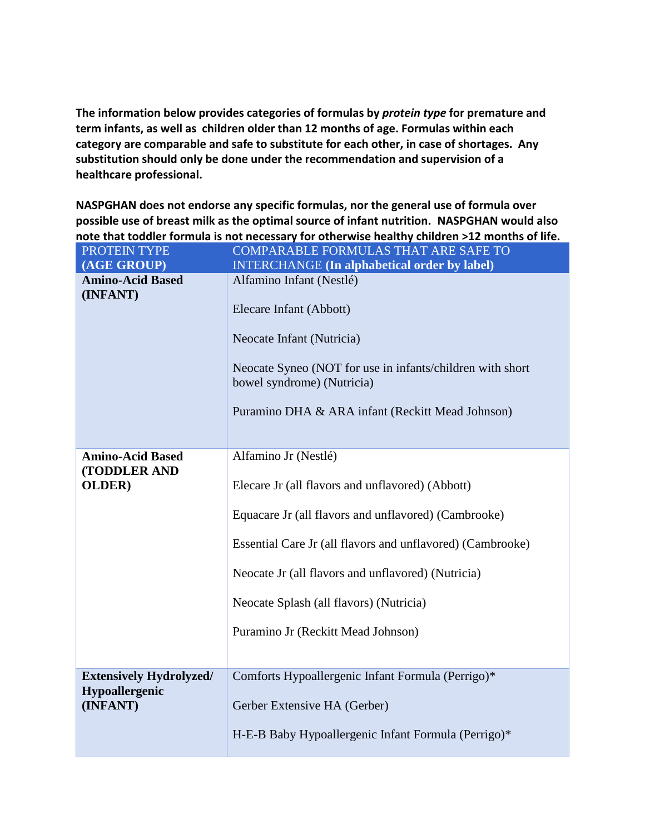**The information below provides categories of formulas by** *protein type* **for premature and term infants, as well as children older than 12 months of age. Formulas within each category are comparable and safe to substitute for each other, in case of shortages. Any substitution should only be done under the recommendation and supervision of a healthcare professional.**

**NASPGHAN does not endorse any specific formulas, nor the general use of formula over possible use of breast milk as the optimal source of infant nutrition. NASPGHAN would also note that toddler formula is not necessary for otherwise healthy children >12 months of life.** 

| PROTEIN TYPE                        | COMPARABLE FORMULAS THAT ARE SAFE TO                                                                                                                                                                                            |
|-------------------------------------|---------------------------------------------------------------------------------------------------------------------------------------------------------------------------------------------------------------------------------|
| (AGE GROUP)                         | <b>INTERCHANGE</b> (In alphabetical order by label)                                                                                                                                                                             |
| <b>Amino-Acid Based</b><br>(INFANT) | Alfamino Infant (Nestlé)<br>Elecare Infant (Abbott)<br>Neocate Infant (Nutricia)<br>Neocate Syneo (NOT for use in infants/children with short<br>bowel syndrome) (Nutricia)<br>Puramino DHA & ARA infant (Reckitt Mead Johnson) |
| <b>Amino-Acid Based</b>             | Alfamino Jr (Nestlé)                                                                                                                                                                                                            |
| (TODDLER AND                        |                                                                                                                                                                                                                                 |
| <b>OLDER</b> )                      | Elecare Jr (all flavors and unflavored) (Abbott)                                                                                                                                                                                |
|                                     | Equacare Jr (all flavors and unflavored) (Cambrooke)                                                                                                                                                                            |
|                                     | Essential Care Jr (all flavors and unflavored) (Cambrooke)                                                                                                                                                                      |
|                                     | Neocate Jr (all flavors and unflavored) (Nutricia)                                                                                                                                                                              |
|                                     | Neocate Splash (all flavors) (Nutricia)                                                                                                                                                                                         |
|                                     | Puramino Jr (Reckitt Mead Johnson)                                                                                                                                                                                              |
|                                     |                                                                                                                                                                                                                                 |
| <b>Extensively Hydrolyzed/</b>      | Comforts Hypoallergenic Infant Formula (Perrigo)*                                                                                                                                                                               |
| Hypoallergenic                      |                                                                                                                                                                                                                                 |
| (INFANT)                            | Gerber Extensive HA (Gerber)                                                                                                                                                                                                    |
|                                     | H-E-B Baby Hypoallergenic Infant Formula (Perrigo)*                                                                                                                                                                             |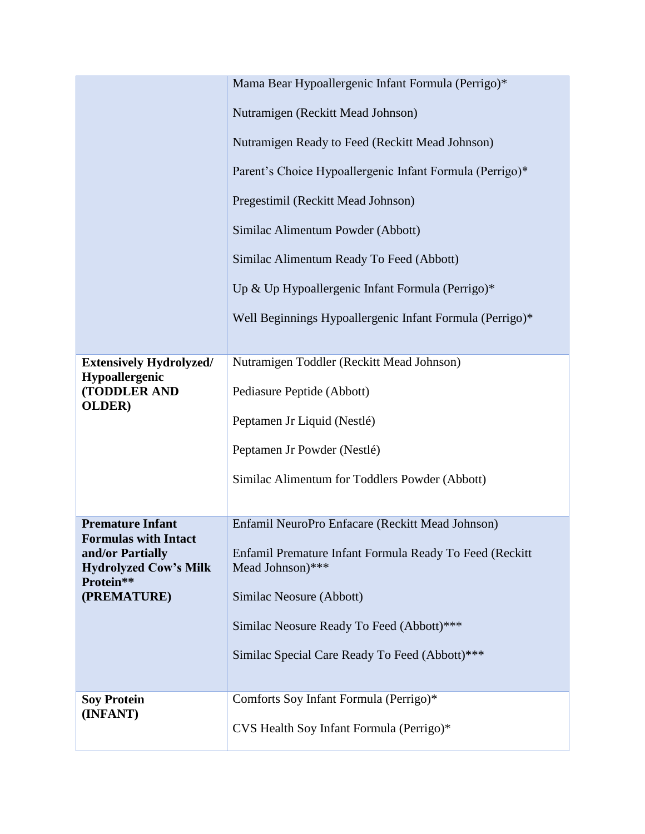|                                                        | Mama Bear Hypoallergenic Infant Formula (Perrigo)*                          |
|--------------------------------------------------------|-----------------------------------------------------------------------------|
|                                                        | Nutramigen (Reckitt Mead Johnson)                                           |
|                                                        | Nutramigen Ready to Feed (Reckitt Mead Johnson)                             |
|                                                        | Parent's Choice Hypoallergenic Infant Formula (Perrigo)*                    |
|                                                        | Pregestimil (Reckitt Mead Johnson)                                          |
|                                                        | Similac Alimentum Powder (Abbott)                                           |
|                                                        | Similac Alimentum Ready To Feed (Abbott)                                    |
|                                                        | Up & Up Hypoallergenic Infant Formula (Perrigo)*                            |
|                                                        | Well Beginnings Hypoallergenic Infant Formula (Perrigo)*                    |
|                                                        |                                                                             |
| <b>Extensively Hydrolyzed/</b><br>Hypoallergenic       | Nutramigen Toddler (Reckitt Mead Johnson)                                   |
| (TODDLER AND<br><b>OLDER</b> )                         | Pediasure Peptide (Abbott)                                                  |
|                                                        | Peptamen Jr Liquid (Nestlé)                                                 |
|                                                        | Peptamen Jr Powder (Nestlé)                                                 |
|                                                        | Similac Alimentum for Toddlers Powder (Abbott)                              |
|                                                        |                                                                             |
| <b>Premature Infant</b><br><b>Formulas with Intact</b> | Enfamil NeuroPro Enfacare (Reckitt Mead Johnson)                            |
| and/or Partially<br><b>Hydrolyzed Cow's Milk</b>       | Enfamil Premature Infant Formula Ready To Feed (Reckitt<br>Mead Johnson)*** |
| Protein**<br>(PREMATURE)                               | Similac Neosure (Abbott)                                                    |
|                                                        | Similac Neosure Ready To Feed (Abbott)***                                   |
|                                                        | Similac Special Care Ready To Feed (Abbott)***                              |
|                                                        |                                                                             |
| <b>Soy Protein</b>                                     | Comforts Soy Infant Formula (Perrigo)*                                      |
| (INFANT)                                               | CVS Health Soy Infant Formula (Perrigo)*                                    |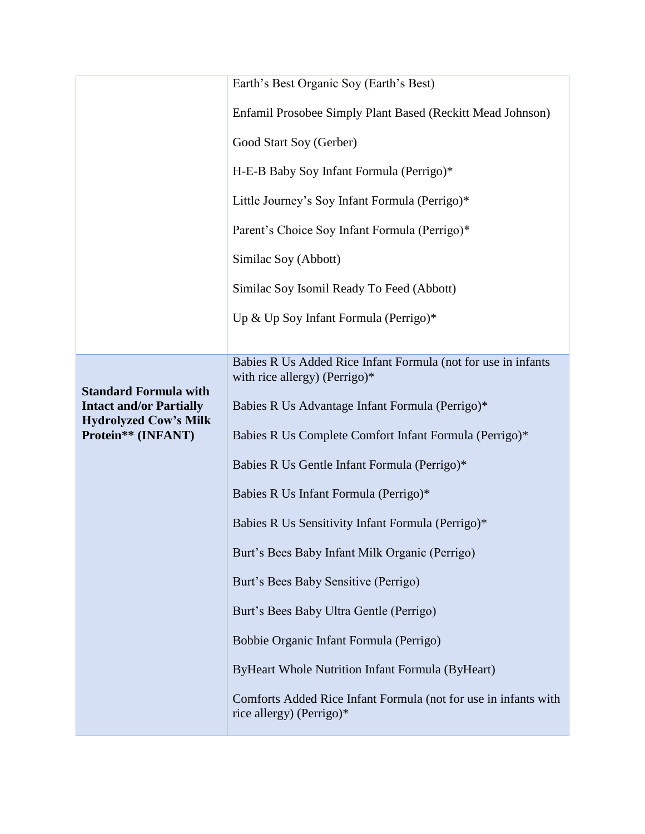|                                                                | Earth's Best Organic Soy (Earth's Best)                                                           |
|----------------------------------------------------------------|---------------------------------------------------------------------------------------------------|
|                                                                | Enfamil Prosobee Simply Plant Based (Reckitt Mead Johnson)                                        |
|                                                                | Good Start Soy (Gerber)                                                                           |
|                                                                | H-E-B Baby Soy Infant Formula (Perrigo)*                                                          |
|                                                                | Little Journey's Soy Infant Formula (Perrigo)*                                                    |
|                                                                | Parent's Choice Soy Infant Formula (Perrigo)*                                                     |
|                                                                | Similac Soy (Abbott)                                                                              |
|                                                                | Similac Soy Isomil Ready To Feed (Abbott)                                                         |
|                                                                | Up & Up Soy Infant Formula (Perrigo)*                                                             |
|                                                                |                                                                                                   |
|                                                                | Babies R Us Added Rice Infant Formula (not for use in infants<br>with rice allergy) (Perrigo) $*$ |
| <b>Standard Formula with</b><br><b>Intact and/or Partially</b> | Babies R Us Advantage Infant Formula (Perrigo)*                                                   |
| <b>Hydrolyzed Cow's Milk</b><br>Protein** (INFANT)             | Babies R Us Complete Comfort Infant Formula (Perrigo)*                                            |
|                                                                | Babies R Us Gentle Infant Formula (Perrigo)*                                                      |
|                                                                | Babies R Us Infant Formula (Perrigo)*                                                             |
|                                                                | Babies R Us Sensitivity Infant Formula (Perrigo)*                                                 |
|                                                                | Burt's Bees Baby Infant Milk Organic (Perrigo)                                                    |
|                                                                | Burt's Bees Baby Sensitive (Perrigo)                                                              |
|                                                                | Burt's Bees Baby Ultra Gentle (Perrigo)                                                           |
|                                                                | Bobbie Organic Infant Formula (Perrigo)                                                           |
|                                                                | ByHeart Whole Nutrition Infant Formula (ByHeart)                                                  |
|                                                                | Comforts Added Rice Infant Formula (not for use in infants with<br>rice allergy) (Perrigo)*       |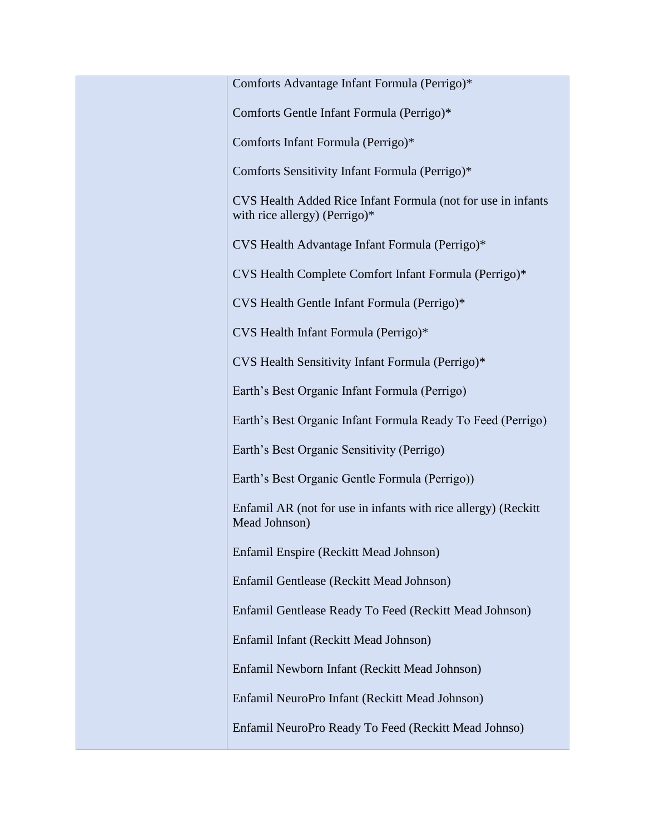| Comforts Advantage Infant Formula (Perrigo)*                                                  |
|-----------------------------------------------------------------------------------------------|
| Comforts Gentle Infant Formula (Perrigo)*                                                     |
| Comforts Infant Formula (Perrigo)*                                                            |
| Comforts Sensitivity Infant Formula (Perrigo)*                                                |
| CVS Health Added Rice Infant Formula (not for use in infants<br>with rice allergy) (Perrigo)* |
| CVS Health Advantage Infant Formula (Perrigo)*                                                |
| CVS Health Complete Comfort Infant Formula (Perrigo)*                                         |
| CVS Health Gentle Infant Formula (Perrigo)*                                                   |
| CVS Health Infant Formula (Perrigo)*                                                          |
| CVS Health Sensitivity Infant Formula (Perrigo)*                                              |
| Earth's Best Organic Infant Formula (Perrigo)                                                 |
| Earth's Best Organic Infant Formula Ready To Feed (Perrigo)                                   |
| Earth's Best Organic Sensitivity (Perrigo)                                                    |
| Earth's Best Organic Gentle Formula (Perrigo))                                                |
| Enfamil AR (not for use in infants with rice allergy) (Reckitt<br>Mead Johnson)               |
| Enfamil Enspire (Reckitt Mead Johnson)                                                        |
| Enfamil Gentlease (Reckitt Mead Johnson)                                                      |
| Enfamil Gentlease Ready To Feed (Reckitt Mead Johnson)                                        |
| Enfamil Infant (Reckitt Mead Johnson)                                                         |
| Enfamil Newborn Infant (Reckitt Mead Johnson)                                                 |
| Enfamil NeuroPro Infant (Reckitt Mead Johnson)                                                |
| Enfamil NeuroPro Ready To Feed (Reckitt Mead Johnso)                                          |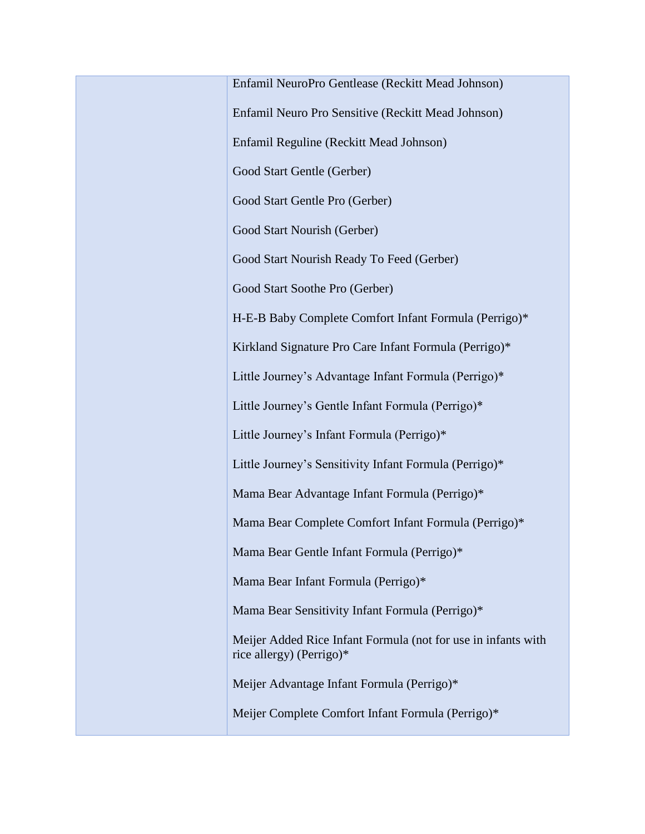Enfamil NeuroPro Gentlease (Reckitt Mead Johnson) Enfamil Neuro Pro Sensitive (Reckitt Mead Johnson) Enfamil Reguline (Reckitt Mead Johnson) Good Start Gentle (Gerber) Good Start Gentle Pro (Gerber) Good Start Nourish (Gerber) Good Start Nourish Ready To Feed (Gerber) Good Start Soothe Pro (Gerber) H-E-B Baby Complete Comfort Infant Formula (Perrigo)\* Kirkland Signature Pro Care Infant Formula (Perrigo)\* Little Journey's Advantage Infant Formula (Perrigo)\* Little Journey's Gentle Infant Formula (Perrigo)\* Little Journey's Infant Formula (Perrigo)\* Little Journey's Sensitivity Infant Formula (Perrigo)\* Mama Bear Advantage Infant Formula (Perrigo)\* Mama Bear Complete Comfort Infant Formula (Perrigo)\* Mama Bear Gentle Infant Formula (Perrigo)\* Mama Bear Infant Formula (Perrigo)\* Mama Bear Sensitivity Infant Formula (Perrigo)\* Meijer Added Rice Infant Formula (not for use in infants with rice allergy) (Perrigo)\* Meijer Advantage Infant Formula (Perrigo)\* Meijer Complete Comfort Infant Formula (Perrigo)\*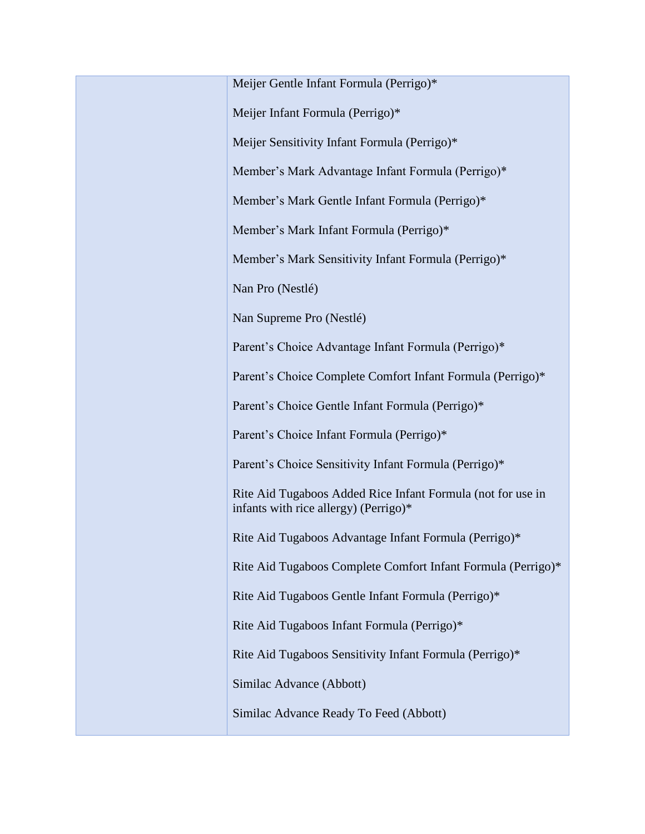Meijer Gentle Infant Formula (Perrigo)\*

Meijer Infant Formula (Perrigo)\*

Meijer Sensitivity Infant Formula (Perrigo)\*

Member's Mark Advantage Infant Formula (Perrigo)\*

Member's Mark Gentle Infant Formula (Perrigo)\*

Member's Mark Infant Formula (Perrigo)\*

Member's Mark Sensitivity Infant Formula (Perrigo)\*

Nan Pro (Nestlé)

Nan Supreme Pro (Nestlé)

Parent's Choice Advantage Infant Formula (Perrigo)\*

Parent's Choice Complete Comfort Infant Formula (Perrigo)\*

Parent's Choice Gentle Infant Formula (Perrigo)\*

Parent's Choice Infant Formula (Perrigo)\*

Parent's Choice Sensitivity Infant Formula (Perrigo)\*

Rite Aid Tugaboos Added Rice Infant Formula (not for use in infants with rice allergy) (Perrigo)\*

Rite Aid Tugaboos Advantage Infant Formula (Perrigo)\*

Rite Aid Tugaboos Complete Comfort Infant Formula (Perrigo)\*

Rite Aid Tugaboos Gentle Infant Formula (Perrigo)\*

Rite Aid Tugaboos Infant Formula (Perrigo)\*

Rite Aid Tugaboos Sensitivity Infant Formula (Perrigo)\*

Similac Advance (Abbott)

Similac Advance Ready To Feed (Abbott)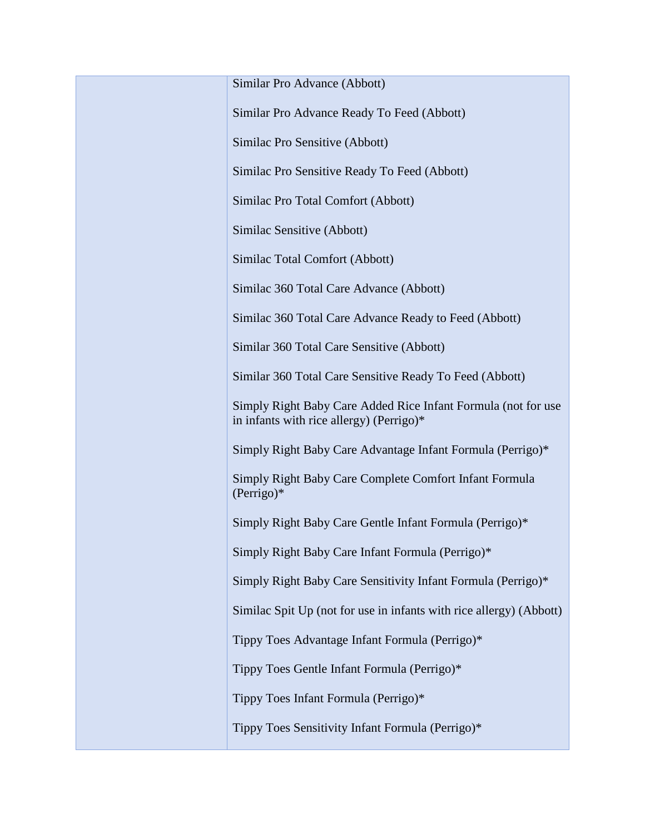Similar Pro Advance (Abbott)

Similar Pro Advance Ready To Feed (Abbott)

Similac Pro Sensitive (Abbott)

Similac Pro Sensitive Ready To Feed (Abbott)

Similac Pro Total Comfort (Abbott)

Similac Sensitive (Abbott)

Similac Total Comfort (Abbott)

Similac 360 Total Care Advance (Abbott)

Similac 360 Total Care Advance Ready to Feed (Abbott)

Similar 360 Total Care Sensitive (Abbott)

Similar 360 Total Care Sensitive Ready To Feed (Abbott)

Simply Right Baby Care Added Rice Infant Formula (not for use in infants with rice allergy) (Perrigo)\*

Simply Right Baby Care Advantage Infant Formula (Perrigo)\*

Simply Right Baby Care Complete Comfort Infant Formula (Perrigo)\*

Simply Right Baby Care Gentle Infant Formula (Perrigo)\*

Simply Right Baby Care Infant Formula (Perrigo)\*

Simply Right Baby Care Sensitivity Infant Formula (Perrigo)\*

Similac Spit Up (not for use in infants with rice allergy) (Abbott)

Tippy Toes Advantage Infant Formula (Perrigo)\*

Tippy Toes Gentle Infant Formula (Perrigo)\*

Tippy Toes Infant Formula (Perrigo)\*

Tippy Toes Sensitivity Infant Formula (Perrigo)\*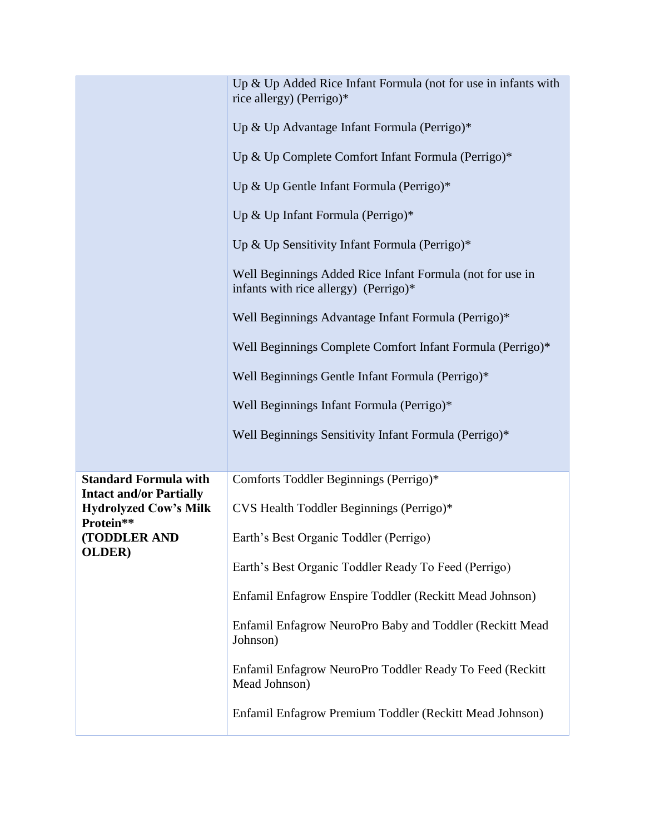|                                                                | Up & Up Added Rice Infant Formula (not for use in infants with<br>rice allergy) (Perrigo)*<br>Up & Up Advantage Infant Formula (Perrigo)*<br>Up & Up Complete Comfort Infant Formula (Perrigo)*<br>Up & Up Gentle Infant Formula (Perrigo)*<br>Up & Up Infant Formula (Perrigo)*<br>Up & Up Sensitivity Infant Formula (Perrigo)*<br>Well Beginnings Added Rice Infant Formula (not for use in<br>infants with rice allergy) (Perrigo)*<br>Well Beginnings Advantage Infant Formula (Perrigo)*<br>Well Beginnings Complete Comfort Infant Formula (Perrigo)*<br>Well Beginnings Gentle Infant Formula (Perrigo)*<br>Well Beginnings Infant Formula (Perrigo)*<br>Well Beginnings Sensitivity Infant Formula (Perrigo)* |
|----------------------------------------------------------------|------------------------------------------------------------------------------------------------------------------------------------------------------------------------------------------------------------------------------------------------------------------------------------------------------------------------------------------------------------------------------------------------------------------------------------------------------------------------------------------------------------------------------------------------------------------------------------------------------------------------------------------------------------------------------------------------------------------------|
| <b>Standard Formula with</b><br><b>Intact and/or Partially</b> | Comforts Toddler Beginnings (Perrigo)*<br>CVS Health Toddler Beginnings (Perrigo)*                                                                                                                                                                                                                                                                                                                                                                                                                                                                                                                                                                                                                                     |
| <b>Hydrolyzed Cow's Milk</b><br>Protein**                      |                                                                                                                                                                                                                                                                                                                                                                                                                                                                                                                                                                                                                                                                                                                        |
| (TODDLER AND<br>OLDER)                                         | Earth's Best Organic Toddler (Perrigo)                                                                                                                                                                                                                                                                                                                                                                                                                                                                                                                                                                                                                                                                                 |
|                                                                | Earth's Best Organic Toddler Ready To Feed (Perrigo)                                                                                                                                                                                                                                                                                                                                                                                                                                                                                                                                                                                                                                                                   |
|                                                                | Enfamil Enfagrow Enspire Toddler (Reckitt Mead Johnson)                                                                                                                                                                                                                                                                                                                                                                                                                                                                                                                                                                                                                                                                |
|                                                                | Enfamil Enfagrow NeuroPro Baby and Toddler (Reckitt Mead<br>Johnson)                                                                                                                                                                                                                                                                                                                                                                                                                                                                                                                                                                                                                                                   |
|                                                                | Enfamil Enfagrow NeuroPro Toddler Ready To Feed (Reckitt<br>Mead Johnson)                                                                                                                                                                                                                                                                                                                                                                                                                                                                                                                                                                                                                                              |
|                                                                | Enfamil Enfagrow Premium Toddler (Reckitt Mead Johnson)                                                                                                                                                                                                                                                                                                                                                                                                                                                                                                                                                                                                                                                                |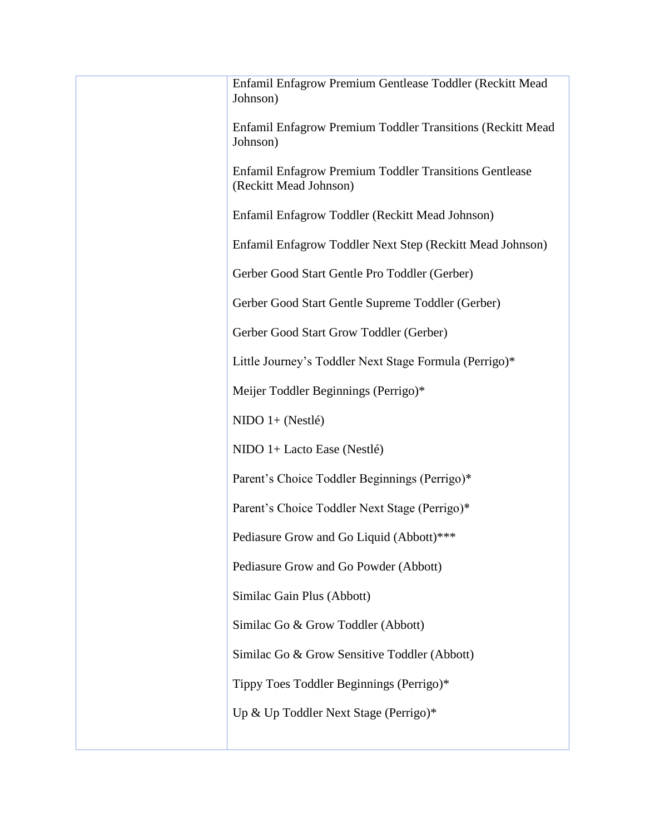| Enfamil Enfagrow Premium Gentlease Toddler (Reckitt Mead<br>Johnson)                    |
|-----------------------------------------------------------------------------------------|
| Enfamil Enfagrow Premium Toddler Transitions (Reckitt Mead<br>Johnson)                  |
| <b>Enfamil Enfagrow Premium Toddler Transitions Gentlease</b><br>(Reckitt Mead Johnson) |
| Enfamil Enfagrow Toddler (Reckitt Mead Johnson)                                         |
| Enfamil Enfagrow Toddler Next Step (Reckitt Mead Johnson)                               |
| Gerber Good Start Gentle Pro Toddler (Gerber)                                           |
| Gerber Good Start Gentle Supreme Toddler (Gerber)                                       |
| Gerber Good Start Grow Toddler (Gerber)                                                 |
| Little Journey's Toddler Next Stage Formula (Perrigo)*                                  |
| Meijer Toddler Beginnings (Perrigo)*                                                    |
| $NIDO$ 1+ (Nestlé)                                                                      |
| NIDO 1+ Lacto Ease (Nestlé)                                                             |
| Parent's Choice Toddler Beginnings (Perrigo)*                                           |
| Parent's Choice Toddler Next Stage (Perrigo)*                                           |
| Pediasure Grow and Go Liquid (Abbott)***                                                |
| Pediasure Grow and Go Powder (Abbott)                                                   |
| Similac Gain Plus (Abbott)                                                              |
| Similac Go & Grow Toddler (Abbott)                                                      |
| Similac Go & Grow Sensitive Toddler (Abbott)                                            |
| Tippy Toes Toddler Beginnings (Perrigo)*                                                |
| Up & Up Toddler Next Stage (Perrigo)*                                                   |
|                                                                                         |